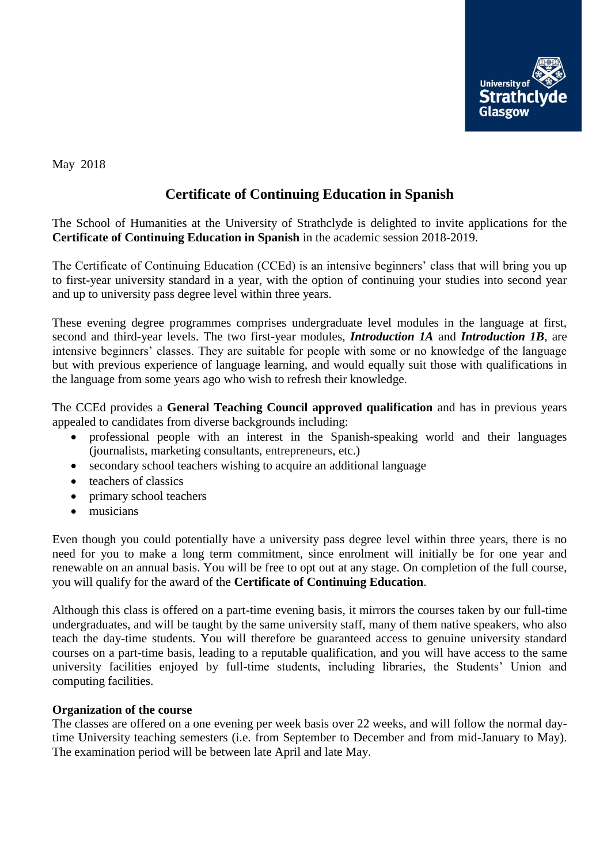

May 2018

## **Certificate of Continuing Education in Spanish**

The School of Humanities at the University of Strathclyde is delighted to invite applications for the **Certificate of Continuing Education in Spanish** in the academic session 2018-2019.

The Certificate of Continuing Education (CCEd) is an intensive beginners' class that will bring you up to first-year university standard in a year, with the option of continuing your studies into second year and up to university pass degree level within three years.

These evening degree programmes comprises undergraduate level modules in the language at first, second and third-year levels. The two first-year modules, *Introduction 1A* and *Introduction 1B*, are intensive beginners' classes. They are suitable for people with some or no knowledge of the language but with previous experience of language learning, and would equally suit those with qualifications in the language from some years ago who wish to refresh their knowledge.

The CCEd provides a **General Teaching Council approved qualification** and has in previous years appealed to candidates from diverse backgrounds including:

- professional people with an interest in the Spanish-speaking world and their languages (journalists, marketing consultants, entrepreneurs, etc.)
- secondary school teachers wishing to acquire an additional language
- teachers of classics
- primary school teachers
- musicians

Even though you could potentially have a university pass degree level within three years, there is no need for you to make a long term commitment, since enrolment will initially be for one year and renewable on an annual basis. You will be free to opt out at any stage. On completion of the full course, you will qualify for the award of the **Certificate of Continuing Education**.

Although this class is offered on a part-time evening basis, it mirrors the courses taken by our full-time undergraduates, and will be taught by the same university staff, many of them native speakers, who also teach the day-time students. You will therefore be guaranteed access to genuine university standard courses on a part-time basis, leading to a reputable qualification, and you will have access to the same university facilities enjoyed by full-time students, including libraries, the Students' Union and computing facilities.

## **Organization of the course**

The classes are offered on a one evening per week basis over 22 weeks, and will follow the normal daytime University teaching semesters (i.e. from September to December and from mid-January to May). The examination period will be between late April and late May.